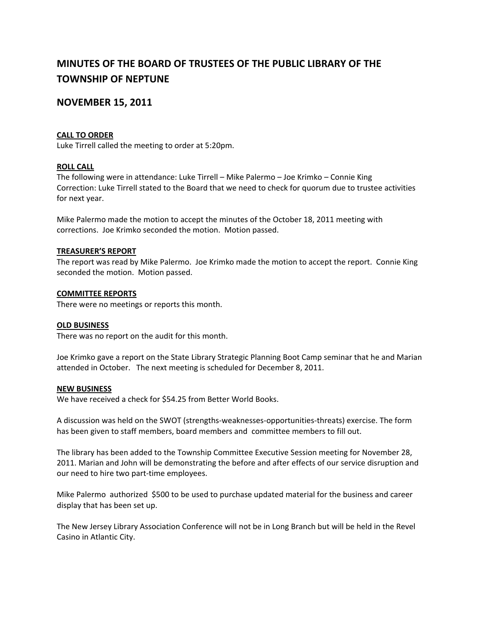# **MINUTES OF THE BOARD OF TRUSTEES OF THE PUBLIC LIBRARY OF THE TOWNSHIP OF NEPTUNE**

# **NOVEMBER 15, 2011**

## **CALL TO ORDER**

Luke Tirrell called the meeting to order at 5:20pm.

### **ROLL CALL**

The following were in attendance: Luke Tirrell – Mike Palermo – Joe Krimko – Connie King Correction: Luke Tirrell stated to the Board that we need to check for quorum due to trustee activities for next year.

Mike Palermo made the motion to accept the minutes of the October 18, 2011 meeting with corrections. Joe Krimko seconded the motion. Motion passed.

#### **TREASURER'S REPORT**

The report was read by Mike Palermo. Joe Krimko made the motion to accept the report. Connie King seconded the motion. Motion passed.

#### **COMMITTEE REPORTS**

There were no meetings or reports this month.

#### **OLD BUSINESS**

There was no report on the audit for this month.

Joe Krimko gave a report on the State Library Strategic Planning Boot Camp seminar that he and Marian attended in October. The next meeting is scheduled for December 8, 2011.

#### **NEW BUSINESS**

We have received a check for \$54.25 from Better World Books.

A discussion was held on the SWOT (strengths‐weaknesses‐opportunities‐threats) exercise. The form has been given to staff members, board members and committee members to fill out.

The library has been added to the Township Committee Executive Session meeting for November 28, 2011. Marian and John will be demonstrating the before and after effects of our service disruption and our need to hire two part‐time employees.

Mike Palermo authorized \$500 to be used to purchase updated material for the business and career display that has been set up.

The New Jersey Library Association Conference will not be in Long Branch but will be held in the Revel Casino in Atlantic City.